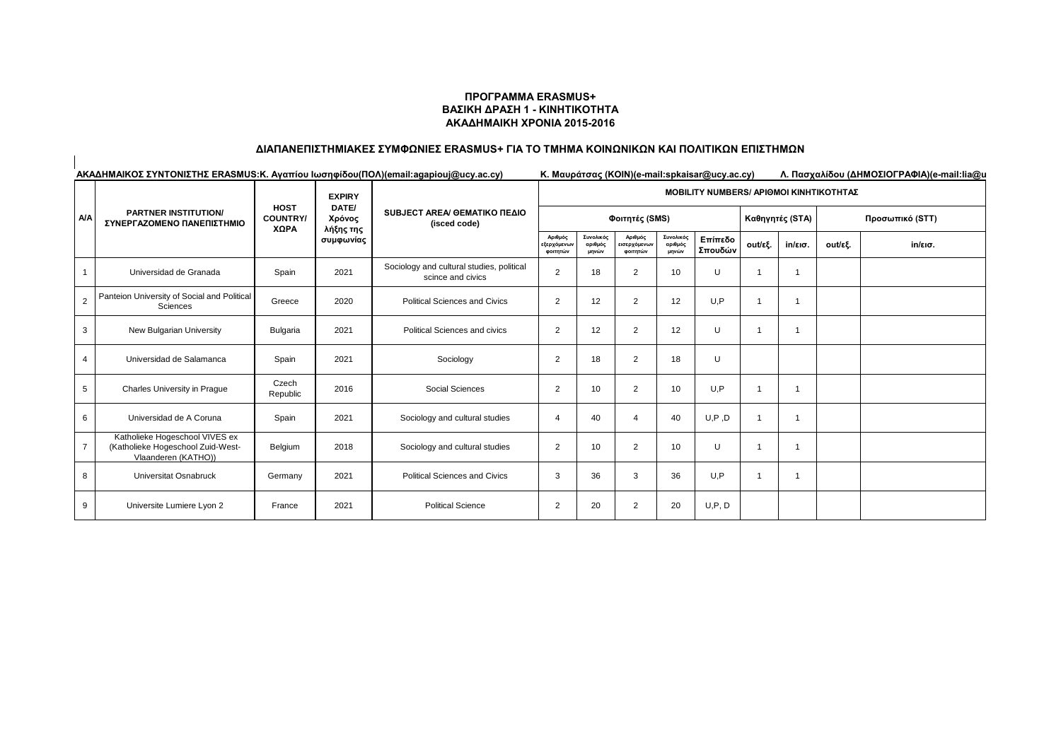#### **ΠΡΟΓΡΑΜΜΑ ERASMUS+ ΒΑΣΙΚΗ ΔΡΑΣΗ 1 - ΚΙΝΗΤΙΚΟΤΗΤΑ ΑΚΑΔΗΜΑΙΚΗ ΧΡΟΝΙΑ 2015-2016**

# **ΔΙΑΠΑΝΕΠΙΣΤΗΜΙΑΚΕΣ ΣΥΜΦΩΝΙΕΣ ERASMUS+ ΓΙΑ ΤΟ ΤΜΗΜΑ ΚΟΙΝΩΝΙΚΩΝ ΚΑΙ ΠΟΛΙΤΙΚΩΝ ΕΠΙΣΤΗΜΩΝ**

 $\overline{1}$ 

| AΚΑΔΗΜΑΙΚΟΣ ΣΥΝΤΟΝΙΣΤΗΣ ERASMUS: Κ. Αγαπίου Ιωσηφίδου (ΠΟΛ) (email:agapiouj@ucy.ac.cy) |                                                                                            |                                        |                                           |                                                                |                                                | Κ. Μαυράτσας (KOIN)(e-mail:spkaisar@ucy.ac.cy)<br>Λ. Πασχαλίδου (ΔΗΜΟΣΙΟΓΡΑΦΙΑ)(e-mail:lia@u |                                     |                               |                    |         |                 |         |                   |  |
|----------------------------------------------------------------------------------------|--------------------------------------------------------------------------------------------|----------------------------------------|-------------------------------------------|----------------------------------------------------------------|------------------------------------------------|----------------------------------------------------------------------------------------------|-------------------------------------|-------------------------------|--------------------|---------|-----------------|---------|-------------------|--|
|                                                                                        | <b>PARTNER INSTITUTION/</b><br>ΣΥΝΕΡΓΑΖΟΜΕΝΟ ΠΑΝΕΠΙΣΤΗΜΙΟ                                  | <b>HOST</b><br><b>COUNTRY/</b><br>XΩPA | <b>EXPIRY</b>                             |                                                                | <b>MOBILITY NUMBERS/ APIOMOI KINHTIKOTHTAZ</b> |                                                                                              |                                     |                               |                    |         |                 |         |                   |  |
| AΙA                                                                                    |                                                                                            |                                        | DATE/<br>Χρόνος<br>λήξης της<br>συμφωνίας | SUBJECT AREA/ GEMATIKO ΠΕΔΙΟ<br>(isced code)                   | Φοιτητές (SMS)                                 |                                                                                              |                                     |                               |                    |         | Καθηγητές (STA) |         | Προσωπικό (STT)   |  |
|                                                                                        |                                                                                            |                                        |                                           |                                                                | Αριθμός<br>εξερχόμενων<br>φοιτητών             | Συνολικός<br>αριθμός<br>μηνών                                                                | Αριθμός<br>εισερχόμενων<br>φοιτητών | Συνολικός<br>αριθμός<br>μηνών | Επίπεδο<br>Σπουδών | out/εξ. | $in$ /εισ.      | out/εξ. | $in/\epsilon$ ισ. |  |
|                                                                                        | Universidad de Granada                                                                     | Spain                                  | 2021                                      | Sociology and cultural studies, political<br>scince and civics | $\overline{2}$                                 | 18                                                                                           | 2                                   | 10                            | U                  |         |                 |         |                   |  |
| $\overline{2}$                                                                         | Panteion University of Social and Political<br>Sciences                                    | Greece                                 | 2020                                      | <b>Political Sciences and Civics</b>                           | $\overline{2}$                                 | 12                                                                                           | 2                                   | 12                            | U.P                |         |                 |         |                   |  |
| 3                                                                                      | New Bulgarian University                                                                   | <b>Bulgaria</b>                        | 2021                                      | Political Sciences and civics                                  | $\overline{2}$                                 | 12                                                                                           | 2                                   | 12                            | U                  |         |                 |         |                   |  |
| $\overline{4}$                                                                         | Universidad de Salamanca                                                                   | Spain                                  | 2021                                      | Sociology                                                      | $\overline{2}$                                 | 18                                                                                           | 2                                   | 18                            | U                  |         |                 |         |                   |  |
| 5                                                                                      | Charles University in Prague                                                               | Czech<br>Republic                      | 2016                                      | Social Sciences                                                | $\overline{2}$                                 | 10                                                                                           | 2                                   | 10                            | U.P                |         |                 |         |                   |  |
| 6                                                                                      | Universidad de A Coruna                                                                    | Spain                                  | 2021                                      | Sociology and cultural studies                                 | $\overline{4}$                                 | 40                                                                                           | $\overline{4}$                      | 40                            | U, P, D            |         |                 |         |                   |  |
|                                                                                        | Katholieke Hogeschool VIVES ex<br>(Katholieke Hogeschool Zuid-West-<br>Vlaanderen (KATHO)) | Belgium                                | 2018                                      | Sociology and cultural studies                                 | $\overline{2}$                                 | 10                                                                                           | 2                                   | 10                            | U                  |         |                 |         |                   |  |
| 8                                                                                      | Universitat Osnabruck                                                                      | Germany                                | 2021                                      | <b>Political Sciences and Civics</b>                           | 3                                              | 36                                                                                           | 3                                   | 36                            | U.P                |         |                 |         |                   |  |
| 9                                                                                      | Universite Lumiere Lyon 2                                                                  | France                                 | 2021                                      | <b>Political Science</b>                                       | $\overline{2}$                                 | 20                                                                                           | 2                                   | 20                            | U, P, D            |         |                 |         |                   |  |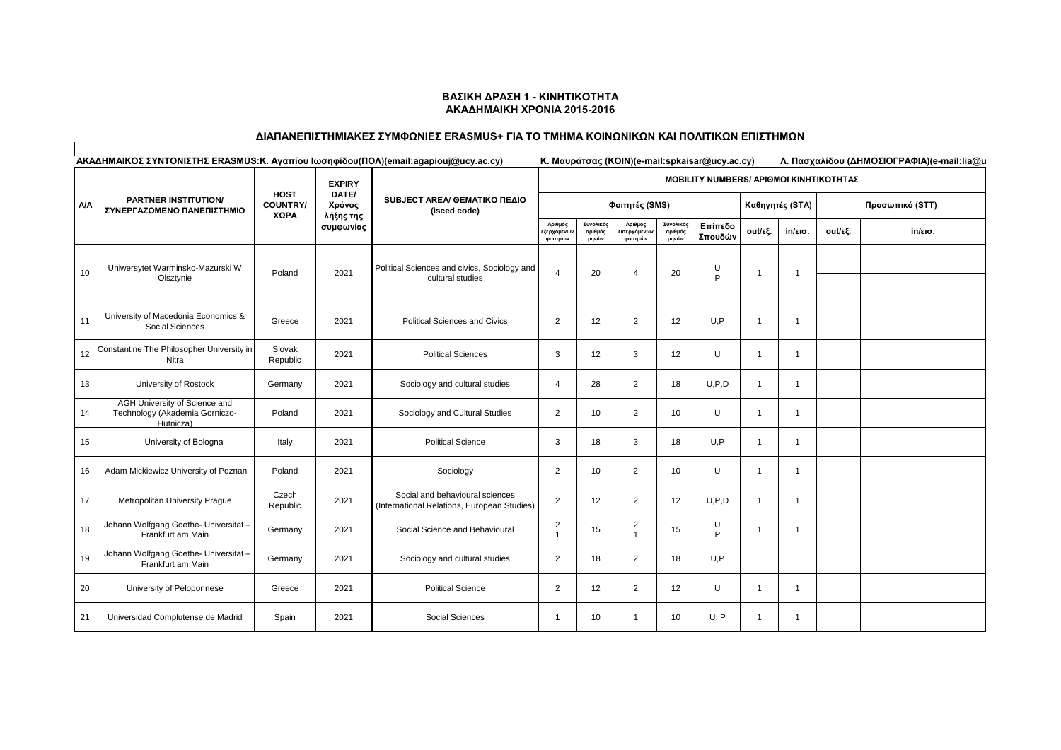### **ΒΑΣΙΚΗ ΔΡΑΣΗ 1 - ΚΙΝΗΤΙΚΟΤΗΤΑ ΑΚΑΔΗΜΑΙΚΗ ΧΡΟΝΙΑ 2015-2016**

## **ΔΙΑΠΑΝΕΠΙΣΤΗΜΙΑΚΕΣ ΣΥΜΦΩΝΙΕΣ ERASMUS+ ΓΙΑ ΤΟ ΤΜΗΜΑ ΚΟΙΝΩΝΙΚΩΝ ΚΑΙ ΠΟΛΙΤΙΚΩΝ ΕΠΙΣΤΗΜΩΝ**

 $\overline{\phantom{a}}$ 

| AΚΑΔΗΜΑΙΚΟΣ ΣΥΝΤΟΝΙΣΤΗΣ ERASMUS: Κ. Αγαπίου Ιωσηφίδου (ΠΟΛ) (email:agapiouj@ucy.ac.cy) |                                                                              |                                        |                                                            |                                                                                |                                                | Κ. Μαυράτσας (KOIN) (e-mail: spkaisar@ucy.ac.cy)<br>Λ. Πασχαλίδου (ΔΗΜΟΣΙΟΓΡΑΦΙΑ) (e-mail:lia@u |                                    |                               |                    |                 |                   |                 |         |  |
|----------------------------------------------------------------------------------------|------------------------------------------------------------------------------|----------------------------------------|------------------------------------------------------------|--------------------------------------------------------------------------------|------------------------------------------------|-------------------------------------------------------------------------------------------------|------------------------------------|-------------------------------|--------------------|-----------------|-------------------|-----------------|---------|--|
|                                                                                        |                                                                              | <b>HOST</b><br><b>COUNTRY/</b><br>XΩPA | <b>EXPIRY</b><br>DATE/<br>Χρόνος<br>λήξης της<br>συμφωνίας |                                                                                | <b>MOBILITY NUMBERS/ APIOMOI KINHTIKOTHTAZ</b> |                                                                                                 |                                    |                               |                    |                 |                   |                 |         |  |
| <b>A/A</b>                                                                             | <b>PARTNER INSTITUTION/</b><br>ΣΥΝΕΡΓΑΖΟΜΕΝΟ ΠΑΝΕΠΙΣΤΗΜΙΟ                    |                                        |                                                            | SUBJECT AREA/ GEMATIKO ΠΕΔΙΟ<br>(isced code)                                   |                                                |                                                                                                 | Φοιτητές (SMS)                     |                               |                    | Καθηγητές (STA) |                   | Προσωπικό (STT) |         |  |
|                                                                                        |                                                                              |                                        |                                                            |                                                                                | Αριθμός<br>εξερχόμενων<br>φοιτητών             | Συνολικός<br>αριθμός<br>μηνών                                                                   | Αριθμός<br>ισερχόμενων<br>φοιτητών | Συνολικός<br>αριθμός<br>μηνών | Επίπεδο<br>Σπουδών | out/εξ.         | $in/\epsilon$ ισ. | out/εξ.         | in/εισ. |  |
| 10                                                                                     | Uniwersytet Warminsko-Mazurski W<br>Olsztynie                                | Poland                                 | 2021                                                       | Political Sciences and civics, Sociology and<br>cultural studies               | $\overline{4}$                                 | 20                                                                                              | 4                                  | 20                            | U<br>P             | -1              | -1                |                 |         |  |
| 11                                                                                     | University of Macedonia Economics &<br>Social Sciences                       | Greece                                 | 2021                                                       | <b>Political Sciences and Civics</b>                                           | $\overline{2}$                                 | 12                                                                                              | 2                                  | 12                            | U.P                |                 | $\overline{1}$    |                 |         |  |
| 12                                                                                     | Constantine The Philosopher University in<br>Nitra                           | Slovak<br>Republic                     | 2021                                                       | <b>Political Sciences</b>                                                      | 3                                              | 12                                                                                              | 3                                  | 12                            | U                  | -1              | 1                 |                 |         |  |
| 13                                                                                     | University of Rostock                                                        | Germany                                | 2021                                                       | Sociology and cultural studies                                                 | $\overline{4}$                                 | 28                                                                                              | $\overline{2}$                     | 18                            | U.P.D              | $\mathbf{1}$    | $\overline{1}$    |                 |         |  |
| 14                                                                                     | AGH University of Science and<br>Technology (Akademia Gorniczo-<br>Hutnicza) | Poland                                 | 2021                                                       | Sociology and Cultural Studies                                                 | $\overline{2}$                                 | 10                                                                                              | $\overline{2}$                     | 10                            | U                  | $\overline{1}$  | $\mathbf{1}$      |                 |         |  |
| 15                                                                                     | University of Bologna                                                        | Italy                                  | 2021                                                       | <b>Political Science</b>                                                       | 3                                              | 18                                                                                              | 3                                  | 18                            | U.P                | $\overline{1}$  | $\overline{1}$    |                 |         |  |
| 16                                                                                     | Adam Mickiewicz University of Poznan                                         | Poland                                 | 2021                                                       | Sociology                                                                      | $\overline{2}$                                 | 10                                                                                              | $\overline{2}$                     | 10                            | U                  | $\mathbf{1}$    | $\mathbf{1}$      |                 |         |  |
| 17                                                                                     | Metropolitan University Prague                                               | Czech<br>Republic                      | 2021                                                       | Social and behavioural sciences<br>(International Relations, European Studies) | $\overline{2}$                                 | 12                                                                                              | 2                                  | 12                            | U, P, D            | $\overline{1}$  | $\overline{1}$    |                 |         |  |
| 18                                                                                     | Johann Wolfgang Goethe- Universitat -<br>Frankfurt am Main                   | Germany                                | 2021                                                       | Social Science and Behavioural                                                 | $\overline{2}$<br>$\mathbf{1}$                 | 15                                                                                              | 2<br>$\overline{1}$                | 15                            | U<br>P             | $\mathbf 1$     | -1                |                 |         |  |
| 19                                                                                     | Johann Wolfgang Goethe- Universitat -<br>Frankfurt am Main                   | Germany                                | 2021                                                       | Sociology and cultural studies                                                 | $\overline{2}$                                 | 18                                                                                              | $\overline{2}$                     | 18                            | U,P                |                 |                   |                 |         |  |
| 20                                                                                     | University of Peloponnese                                                    | Greece                                 | 2021                                                       | <b>Political Science</b>                                                       | $\overline{2}$                                 | 12                                                                                              | 2                                  | 12                            | U                  | $\overline{1}$  | $\mathbf 1$       |                 |         |  |
| 21                                                                                     | Universidad Complutense de Madrid                                            | Spain                                  | 2021                                                       | Social Sciences                                                                | $\mathbf{1}$                                   | 10                                                                                              | -1                                 | 10                            | U, P               | -1              | -1                |                 |         |  |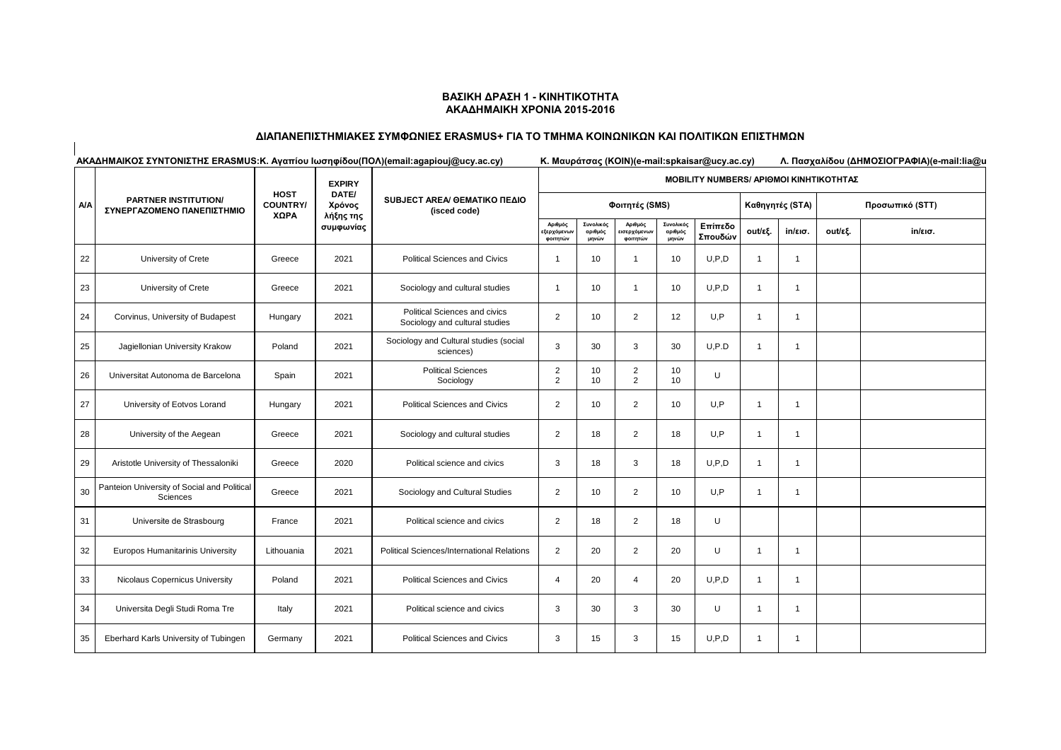### **ΒΑΣΙΚΗ ΔΡΑΣΗ 1 - ΚΙΝΗΤΙΚΟΤΗΤΑ ΑΚΑΔΗΜΑΙΚΗ ΧΡΟΝΙΑ 2015-2016**

## **ΔΙΑΠΑΝΕΠΙΣΤΗΜΙΑΚΕΣ ΣΥΜΦΩΝΙΕΣ ERASMUS+ ΓΙΑ ΤΟ ΤΜΗΜΑ ΚΟΙΝΩΝΙΚΩΝ ΚΑΙ ΠΟΛΙΤΙΚΩΝ ΕΠΙΣΤΗΜΩΝ**

 $\overline{\phantom{a}}$ 

| AΚΑΔΗΜΑΙΚΟΣ ΣΥΝΤΟΝΙΣΤΗΣ ERASMUS: Κ. Αγαπίου Ιωσηφίδου (ΠΟΛ) (email:agapiouj@ucy.ac.cy) |                                                           |                                        |                        |                                                                 | Κ. Μαυράτσας (KOIN)(e-mail:spkaisar@ucy.ac.cy)<br>Λ. Πασχαλίδου (ΔΗΜΟΣΙΟΓΡΑΦΙΑ)(e-mail:lia@u |                               |                                    |                               |                    |                 |                   |                 |                   |  |
|----------------------------------------------------------------------------------------|-----------------------------------------------------------|----------------------------------------|------------------------|-----------------------------------------------------------------|----------------------------------------------------------------------------------------------|-------------------------------|------------------------------------|-------------------------------|--------------------|-----------------|-------------------|-----------------|-------------------|--|
|                                                                                        |                                                           |                                        | <b>EXPIRY</b>          | SUBJECT AREA/ GEMATIKO ΠΕΔΙΟ<br>(isced code)                    | <b>MOBILITY NUMBERS/ APIOMOI KINHTIKOTHTAΣ</b>                                               |                               |                                    |                               |                    |                 |                   |                 |                   |  |
| <b>A/A</b>                                                                             | <b>PARTNER INSTITUTION/</b><br>ΣΥΝΕΡΓΑΖΟΜΕΝΟ ΠΑΝΕΠΙΣΤΗΜΙΟ | <b>HOST</b><br><b>COUNTRY/</b><br>ΧΩΡΑ | DATE/<br>Χρόνος        |                                                                 |                                                                                              |                               | Φοιτητές (SMS)                     |                               |                    | Καθηγητές (STA) |                   | Προσωπικό (STT) |                   |  |
|                                                                                        |                                                           |                                        | λήξης της<br>συμφωνίας |                                                                 | Αριθμός<br>εξερχόμενων<br>φοιτητών                                                           | Συνολικός<br>αριθμός<br>μηνών | Αριθμός<br>ισερχόμενων<br>φοιτητών | Συνολικός<br>αριθμός<br>μηνών | Επίπεδο<br>Σπουδών | out/εξ.         | $in/\epsilon$ ισ. | out/εξ.         | $in/\epsilon$ ισ. |  |
| 22                                                                                     | University of Crete                                       | Greece                                 | 2021                   | <b>Political Sciences and Civics</b>                            | $\overline{1}$                                                                               | 10                            | $\overline{1}$                     | 10                            | U.P.D              | $\mathbf{1}$    | $\mathbf{1}$      |                 |                   |  |
| 23                                                                                     | University of Crete                                       | Greece                                 | 2021                   | Sociology and cultural studies                                  | $\overline{1}$                                                                               | 10                            | $\overline{1}$                     | 10                            | U.P.D              | $\mathbf{1}$    | $\overline{1}$    |                 |                   |  |
| 24                                                                                     | Corvinus, University of Budapest                          | Hungary                                | 2021                   | Political Sciences and civics<br>Sociology and cultural studies | $\overline{2}$                                                                               | 10                            | $\overline{2}$                     | 12                            | U.P                | -1              | $\mathbf{1}$      |                 |                   |  |
| 25                                                                                     | Jagiellonian University Krakow                            | Poland                                 | 2021                   | Sociology and Cultural studies (social<br>sciences)             | 3                                                                                            | 30                            | 3                                  | 30                            | U, P.D             | $\overline{1}$  | $\mathbf{1}$      |                 |                   |  |
| 26                                                                                     | Universitat Autonoma de Barcelona                         | Spain                                  | 2021                   | <b>Political Sciences</b><br>Sociology                          | $\overline{2}$<br>$\overline{2}$                                                             | 10<br>10                      | $\overline{2}$<br>2                | 10<br>10                      | U                  |                 |                   |                 |                   |  |
| 27                                                                                     | University of Eotvos Lorand                               | Hungary                                | 2021                   | Political Sciences and Civics                                   | $\overline{2}$                                                                               | 10                            | $\overline{2}$                     | 10                            | U.P                | $\overline{1}$  | $\overline{1}$    |                 |                   |  |
| 28                                                                                     | University of the Aegean                                  | Greece                                 | 2021                   | Sociology and cultural studies                                  | $\overline{2}$                                                                               | 18                            | $\overline{2}$                     | 18                            | U,P                | $\overline{1}$  | -1                |                 |                   |  |
| 29                                                                                     | Aristotle University of Thessaloniki                      | Greece                                 | 2020                   | Political science and civics                                    | 3                                                                                            | 18                            | 3                                  | 18                            | U.P.D              | 1               | $\mathbf 1$       |                 |                   |  |
| 30                                                                                     | Panteion University of Social and Political<br>Sciences   | Greece                                 | 2021                   | Sociology and Cultural Studies                                  | $\overline{2}$                                                                               | 10                            | $\overline{2}$                     | 10                            | U.P                | $\mathbf{1}$    | $\overline{1}$    |                 |                   |  |
| 31                                                                                     | Universite de Strasbourg                                  | France                                 | 2021                   | Political science and civics                                    | $\overline{2}$                                                                               | 18                            | $\overline{2}$                     | 18                            | U                  |                 |                   |                 |                   |  |
| 32                                                                                     | Europos Humanitarinis University                          | Lithouania                             | 2021                   | <b>Political Sciences/International Relations</b>               | 2                                                                                            | 20                            | 2                                  | 20                            | U                  | $\mathbf{1}$    | $\mathbf{1}$      |                 |                   |  |
| 33                                                                                     | Nicolaus Copernicus University                            | Poland                                 | 2021                   | <b>Political Sciences and Civics</b>                            | $\overline{4}$                                                                               | 20                            | $\overline{4}$                     | 20                            | U.P.D              | $\mathbf{1}$    | $\overline{1}$    |                 |                   |  |
| 34                                                                                     | Universita Degli Studi Roma Tre                           | Italy                                  | 2021                   | Political science and civics                                    | 3                                                                                            | 30                            | 3                                  | 30                            | U                  | $\mathbf{1}$    | $\mathbf{1}$      |                 |                   |  |
| 35                                                                                     | Eberhard Karls University of Tubingen                     | Germany                                | 2021                   | <b>Political Sciences and Civics</b>                            | 3                                                                                            | 15                            | 3                                  | 15                            | U.P.D              | $\overline{1}$  | $\mathbf{1}$      |                 |                   |  |